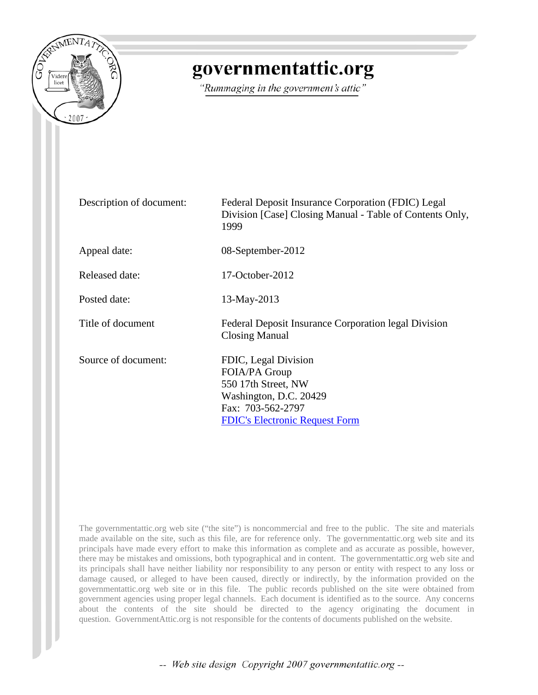

# governmentattic.org

"Rummaging in the government's attic"

| Description of document: | Federal Deposit Insurance Corporation (FDIC) Legal<br>Division [Case] Closing Manual - Table of Contents Only,<br>1999                               |
|--------------------------|------------------------------------------------------------------------------------------------------------------------------------------------------|
| Appeal date:             | 08-September-2012                                                                                                                                    |
| Released date:           | 17-October-2012                                                                                                                                      |
| Posted date:             | 13-May-2013                                                                                                                                          |
| Title of document        | Federal Deposit Insurance Corporation legal Division<br><b>Closing Manual</b>                                                                        |
| Source of document:      | FDIC, Legal Division<br>FOIA/PA Group<br>550 17th Street, NW<br>Washington, D.C. 20429<br>Fax: 703-562-2797<br><b>FDIC's Electronic Request Form</b> |

The governmentattic.org web site ("the site") is noncommercial and free to the public. The site and materials made available on the site, such as this file, are for reference only. The governmentattic.org web site and its principals have made every effort to make this information as complete and as accurate as possible, however, there may be mistakes and omissions, both typographical and in content. The governmentattic.org web site and its principals shall have neither liability nor responsibility to any person or entity with respect to any loss or damage caused, or alleged to have been caused, directly or indirectly, by the information provided on the governmentattic.org web site or in this file. The public records published on the site were obtained from government agencies using proper legal channels. Each document is identified as to the source. Any concerns about the contents of the site should be directed to the agency originating the document in question. GovernmentAttic.org is not responsible for the contents of documents published on the website.

-- Web site design Copyright 2007 governmentattic.org --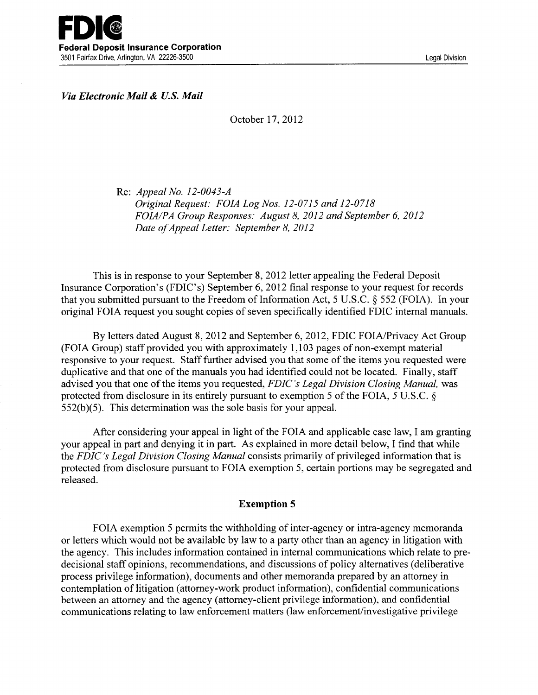*Via Electronic Mail* & *U.S. Mail* 

October 17, 2012

Re: *Appeal No. 12-0043-A Original Request: FOIA Log Nos. 12-0715 and 12-0718 FOIAIPA Group Responses: August 8, 2012 and September 6, 2012 Date of Appeal Letter: September 8, 2012* 

This is in response to your September 8, 2012 letter appealing the Federal Deposit Insurance Corporation's (FDIC's) September 6, 2012 final response to your request for records that you submitted pursuant to the Freedom of Information Act, 5 U.S.C.  $\S$  552 (FOIA). In your original FOIA request you sought copies of seven specifically identified FDIC internal manuals.

By letters dated August 8, 2012 and September 6, 2012, FDIC FOIA/Privacy Act Group (FOIA Group) staff provided you with approximately 1, 103 pages of non-exempt material responsive to your request. Staff further advised you that some of the items you requested were duplicative and that one of the manuals you had identified could not be located. Finally, staff advised you that one of the items you requested, *FDIC's Legal Division Closing Manual,* was protected from disclosure in its entirely pursuant to exemption 5 of the FOIA, *5* U.S.C. § 552(b)(5). This determination was the sole basis for your appeal.

After considering your appeal in light of the FOIA and applicable case law, I am granting your appeal in part and denying it in part. As explained in more detail below, I find that while the *FDIC 's Legal Division Closing Manual* consists primarily of privileged information that is protected from disclosure pursuant to FOIA exemption 5, certain portions may be segregated and released.

#### Exemption 5

FOIA exemption 5 permits the withholding of inter-agency or intra-agency memoranda or letters which would not be available by law to a party other than an agency in litigation with the agency. This includes information contained in internal communications which relate to predecisional staff opinions, recommendations, and discussions of policy alternatives (deliberative process privilege information), documents and other memoranda prepared by an attorney in contemplation of litigation (attorney-work product information), confidential communications between an attorney and the agency (attorney-client privilege information), and confidential communications relating to law enforcement matters (law enforcement/investigative privilege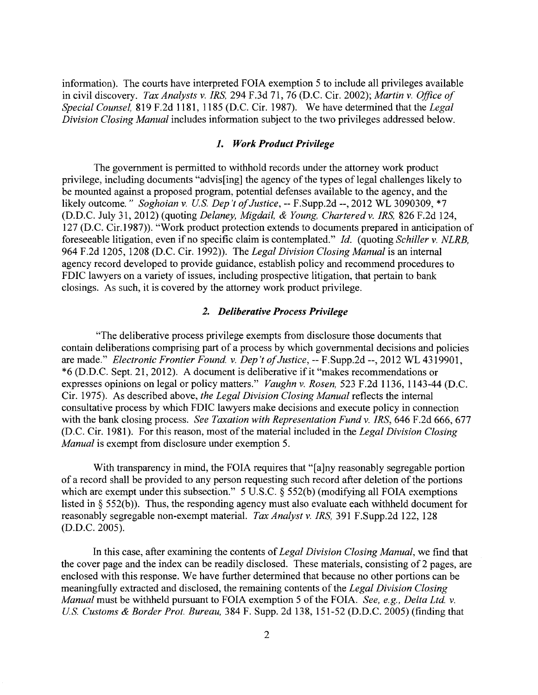information). The courts have interpreted FOIA exemption 5 to include all privileges available in civil discovery. *Tax Analysts v. IRS,* 294 F.3d 71, 76 (D.C. Cir. 2002); *Martin v. Office of Special Counsel,* 819 F.2d 1181, 1185 (D.C. Cir. 1987). We have determined that the *Legal Division Closing Manual* includes information subject to the two privileges addressed below.

#### *1. Work Product Privilege*

The government is permitted to withhold records under the attorney work product privilege, including documents "advis[ing] the agency of the types of legal challenges likely to be mounted against a proposed program, potential defenses available to the agency, and the likely outcome." *Soghoian v. US. Dep 't of Justice,* -- F.Supp.2d --, 2012 WL 3090309, \*7 (D.D.C. July 31, 2012) (quoting *Delaney, Migdail,* & *Young, Charteredv. IRS,* 826 F.2d 124, 127 (D.C. Cir.1987)). "Work product protection extends to documents prepared in anticipation of foreseeable litigation, even if no specific claim is contemplated." *Id.* (quoting *Schiller v. NLRB,*  964 F.2d 1205, 1208 (D.C. Cir. 1992)). The *Legal Division Closing Manual* is an internal agency record developed to provide guidance, establish policy and recommend procedures to FDIC lawyers on a variety of issues, including prospective litigation, that pertain to bank closings. As such, it is covered by the attorney work product privilege.

### *2. Deliberative Process Privilege*

"The deliberative process privilege exempts from disclosure those documents that contain deliberations comprising part of a process by which governmental decisions and policies are made." *Electronic Frontier Found. v. Dep 't of Justice,* -- F.Supp.2d --, 2012 WL 4319901, \*6 (D.D.C. Sept. 21, 2012). A document is deliberative if it "makes recommendations or expresses opinions on legal or policy matters." *Vaughn v. Rosen,* 523 F.2d 1136, 1143-44 (D.C. Cir. 1975). As described above, *the Legal Division Closing Manual* reflects the internal consultative process by which FDIC lawyers make decisions and execute policy in connection with the bank closing process. *See Taxation with Representation Fund v. IRS,* 646 F.2d 666, 677 (D.C. Cir. 1981). For this reason, most of the material included in the *Legal Division Closing Manual* is exempt from disclosure under exemption 5.

With transparency in mind, the FOIA requires that "[a]ny reasonably segregable portion of a record shall be provided to any person requesting such record after deletion of the portions which are exempt under this subsection."  $5 \text{ U.S.C.}$  §  $552(b)$  (modifying all FOIA exemptions listed in§ 552(b)). Thus, the responding agency must also evaluate each withheld document for reasonably segregable non-exempt material. *Tax Analyst v. IRS,* 391 F.Supp.2d 122, 128 (D.D.C. 2005).

In this case, after examining the contents of *Legal Division Closing Manual,* we find that the cover page and the index can be readily disclosed. These materials, consisting of 2 pages, are enclosed with this response. We have further determined that because no other portions can be meaningfully extracted and disclosed, the remaining contents of the *Legal Division Closing Manual* must be withheld pursuant to FOIA exemption 5 of the FOIA. *See, e.g., Delta Ltd. v. US. Customs* & *Border Prat. Bureau,* 384 F. Supp. 2d 138, 151-52 (D.D.C. 2005) (finding that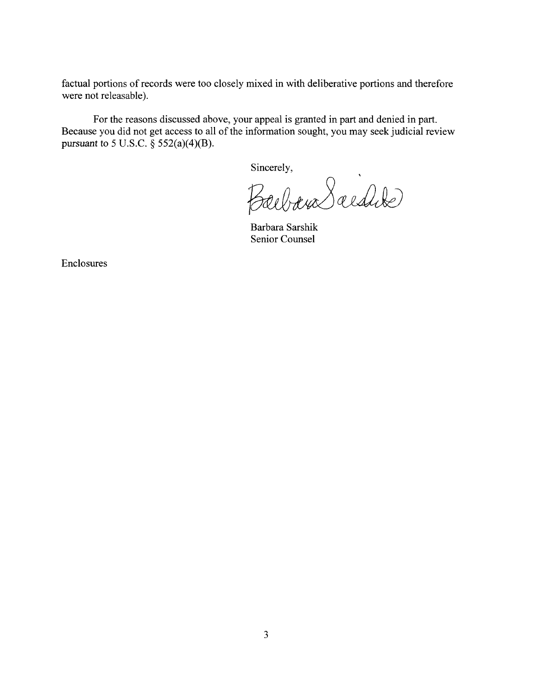factual portions of records were too closely mixed in with deliberative portions and therefore were not releasable).

For the reasons discussed above, your appeal is granted in part and denied in part. Because you did not get access to all of the information sought, you may seek judicial review pursuant *to* 5 U.S.C. § 552(a)(4)(B).

Sincerely,<br>Balbara Saldike

Barbara Sarshik Senior Counsel

Enclosures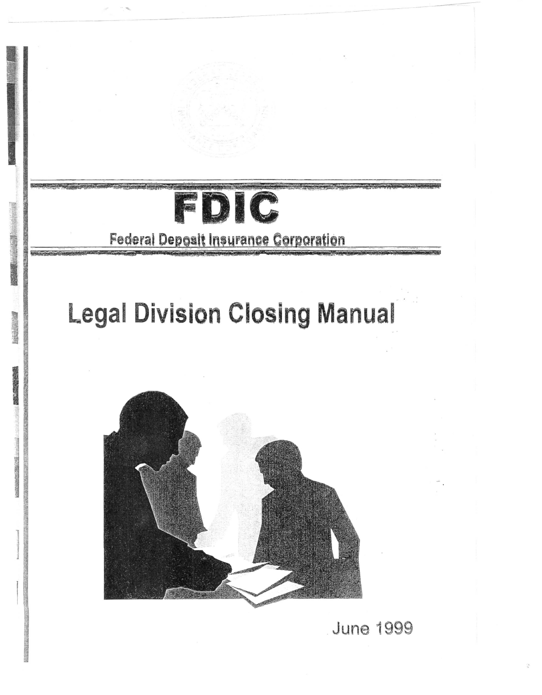